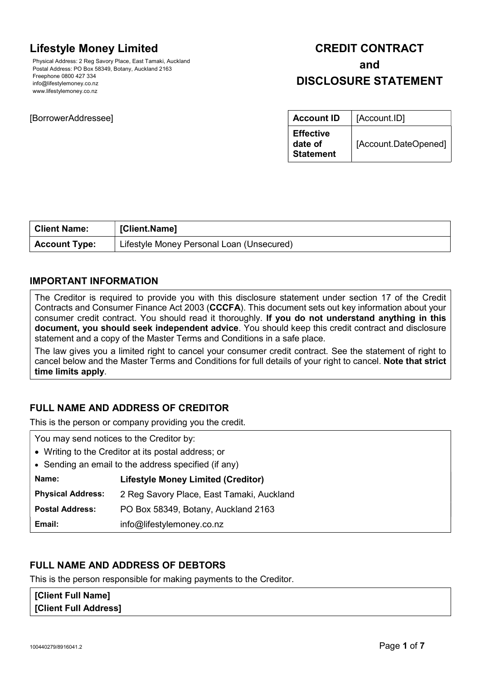# Lifestyle Money Limited

Physical Address: 2 Reg Savory Place, East Tamaki, Auckland Postal Address: PO Box 58349, Botany, Auckland 2163 Freephone 0800 427 334 info@lifestylemoney.co.nz www.lifestylemoney.co.nz

## [BorrowerAddressee]

# CREDIT CONTRACT and DISCLOSURE STATEMENT

| <b>Account ID</b>                               | [Account.ID]         |
|-------------------------------------------------|----------------------|
| <b>Effective</b><br>date of<br><b>Statement</b> | [Account.DateOpened] |

| <b>Client Name:</b>  | [Client.Name]                             |
|----------------------|-------------------------------------------|
| <b>Account Type:</b> | Lifestyle Money Personal Loan (Unsecured) |

# IMPORTANT INFORMATION

The Creditor is required to provide you with this disclosure statement under section 17 of the Credit Contracts and Consumer Finance Act 2003 (CCCFA). This document sets out key information about your consumer credit contract. You should read it thoroughly. If you do not understand anything in this document, you should seek independent advice. You should keep this credit contract and disclosure statement and a copy of the Master Terms and Conditions in a safe place.

The law gives you a limited right to cancel your consumer credit contract. See the statement of right to cancel below and the Master Terms and Conditions for full details of your right to cancel. Note that strict time limits apply.

# FULL NAME AND ADDRESS OF CREDITOR

This is the person or company providing you the credit.

| You may send notices to the Creditor by:             |                                           |
|------------------------------------------------------|-------------------------------------------|
| • Writing to the Creditor at its postal address; or  |                                           |
| • Sending an email to the address specified (if any) |                                           |
| Name:                                                | <b>Lifestyle Money Limited (Creditor)</b> |
| <b>Physical Address:</b>                             | 2 Reg Savory Place, East Tamaki, Auckland |
| <b>Postal Address:</b>                               | PO Box 58349, Botany, Auckland 2163       |
| Email:                                               | info@lifestylemoney.co.nz                 |

# FULL NAME AND ADDRESS OF DEBTORS

This is the person responsible for making payments to the Creditor.

[Client Full Name] **[Client Full Address]**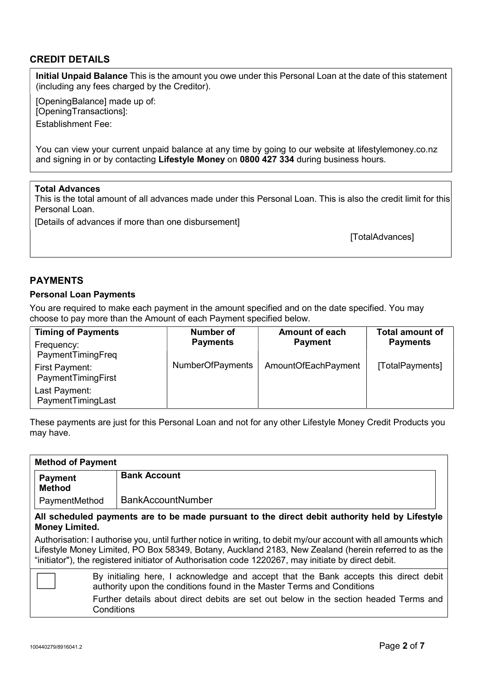# CREDIT DETAILS

Initial Unpaid Balance This is the amount you owe under this Personal Loan at the date of this statement (including any fees charged by the Creditor).

[OpeningBalance] made up of: [OpeningTransactions]:

Establishment Fee:

You can view your current unpaid balance at any time by going to our website at lifestylemoney.co.nz and signing in or by contacting Lifestyle Money on 0800 427 334 during business hours.

## Total Advances

This is the total amount of all advances made under this Personal Loan. This is also the credit limit for this Personal Loan

[Details of advances if more than one disbursement]

[TotalAdvances]

## PAYMENTS

#### Personal Loan Payments

You are required to make each payment in the amount specified and on the date specified. You may choose to pay more than the Amount of each Payment specified below.

| <b>Timing of Payments</b>            | Number of               | <b>Amount of each</b> | <b>Total amount of</b> |
|--------------------------------------|-------------------------|-----------------------|------------------------|
| Frequency:<br>PaymentTimingFreq      | <b>Payments</b>         | <b>Payment</b>        | <b>Payments</b>        |
| First Payment:<br>PaymentTimingFirst | <b>NumberOfPayments</b> | AmountOfEachPayment   | [TotalPayments]        |
| Last Payment:<br>PaymentTimingLast   |                         |                       |                        |

These payments are just for this Personal Loan and not for any other Lifestyle Money Credit Products you may have.

| <b>Method of Payment</b>                                                                                                                                                                                                                                                                                                       |                                                                                                     |  |
|--------------------------------------------------------------------------------------------------------------------------------------------------------------------------------------------------------------------------------------------------------------------------------------------------------------------------------|-----------------------------------------------------------------------------------------------------|--|
| <b>Payment</b><br><b>Method</b>                                                                                                                                                                                                                                                                                                | <b>Bank Account</b>                                                                                 |  |
| PaymentMethod                                                                                                                                                                                                                                                                                                                  | <b>BankAccountNumber</b>                                                                            |  |
| All scheduled payments are to be made pursuant to the direct debit authority held by Lifestyle<br><b>Money Limited.</b>                                                                                                                                                                                                        |                                                                                                     |  |
| Authorisation: I authorise you, until further notice in writing, to debit my/our account with all amounts which<br>Lifestyle Money Limited, PO Box 58349, Botany, Auckland 2183, New Zealand (herein referred to as the<br>"initiator"), the registered initiator of Authorisation code 1220267, may initiate by direct debit. |                                                                                                     |  |
| By initialing here, I acknowledge and accept that the Bank accepts this direct debit<br>authority upon the conditions found in the Master Terms and Conditions                                                                                                                                                                 |                                                                                                     |  |
|                                                                                                                                                                                                                                                                                                                                | Further details about direct debits are set out below in the section headed Terms and<br>Conditions |  |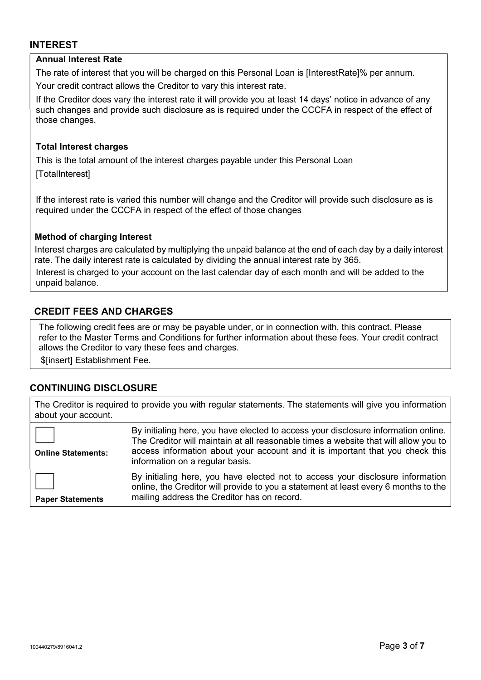## INTEREST

## Annual Interest Rate

The rate of interest that you will be charged on this Personal Loan is [InterestRate]% per annum.

Your credit contract allows the Creditor to vary this interest rate.

If the Creditor does vary the interest rate it will provide you at least 14 days' notice in advance of any such changes and provide such disclosure as is required under the CCCFA in respect of the effect of those changes.

#### Total Interest charges

This is the total amount of the interest charges payable under this Personal Loan

[TotalInterest]

If the interest rate is varied this number will change and the Creditor will provide such disclosure as is required under the CCCFA in respect of the effect of those changes

## Method of charging Interest

Interest charges are calculated by multiplying the unpaid balance at the end of each day by a daily interest rate. The daily interest rate is calculated by dividing the annual interest rate by 365.

Interest is charged to your account on the last calendar day of each month and will be added to the unpaid balance.

# CREDIT FEES AND CHARGES

The following credit fees are or may be payable under, or in connection with, this contract. Please refer to the Master Terms and Conditions for further information about these fees. Your credit contract allows the Creditor to vary these fees and charges.

\$[insert] Establishment Fee.

# CONTINUING DISCLOSURE

The Creditor is required to provide you with regular statements. The statements will give you information about your account.

| <b>Online Statements:</b> | By initialing here, you have elected to access your disclosure information online.<br>The Creditor will maintain at all reasonable times a website that will allow you to<br>access information about your account and it is important that you check this<br>information on a regular basis. |
|---------------------------|-----------------------------------------------------------------------------------------------------------------------------------------------------------------------------------------------------------------------------------------------------------------------------------------------|
| <b>Paper Statements</b>   | By initialing here, you have elected not to access your disclosure information<br>online, the Creditor will provide to you a statement at least every 6 months to the<br>mailing address the Creditor has on record.                                                                          |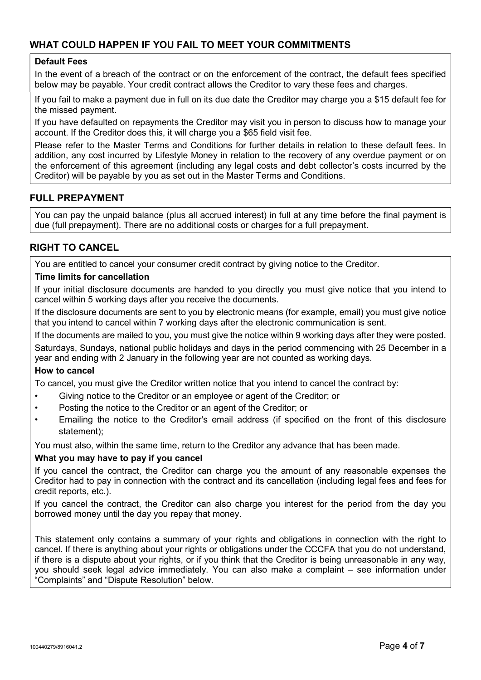# WHAT COULD HAPPEN IF YOU FAIL TO MEET YOUR COMMITMENTS

## Default Fees

In the event of a breach of the contract or on the enforcement of the contract, the default fees specified below may be payable. Your credit contract allows the Creditor to vary these fees and charges.

If you fail to make a payment due in full on its due date the Creditor may charge you a \$15 default fee for the missed payment.

If you have defaulted on repayments the Creditor may visit you in person to discuss how to manage your account. If the Creditor does this, it will charge you a \$65 field visit fee.

Please refer to the Master Terms and Conditions for further details in relation to these default fees. In addition, any cost incurred by Lifestyle Money in relation to the recovery of any overdue payment or on the enforcement of this agreement (including any legal costs and debt collector's costs incurred by the Creditor) will be payable by you as set out in the Master Terms and Conditions.

# FULL PREPAYMENT

You can pay the unpaid balance (plus all accrued interest) in full at any time before the final payment is due (full prepayment). There are no additional costs or charges for a full prepayment.

# RIGHT TO CANCEL

You are entitled to cancel your consumer credit contract by giving notice to the Creditor.

## Time limits for cancellation

If your initial disclosure documents are handed to you directly you must give notice that you intend to cancel within 5 working days after you receive the documents.

If the disclosure documents are sent to you by electronic means (for example, email) you must give notice that you intend to cancel within 7 working days after the electronic communication is sent.

If the documents are mailed to you, you must give the notice within 9 working days after they were posted. Saturdays, Sundays, national public holidays and days in the period commencing with 25 December in a year and ending with 2 January in the following year are not counted as working days.

## How to cancel

To cancel, you must give the Creditor written notice that you intend to cancel the contract by:

- Giving notice to the Creditor or an employee or agent of the Creditor; or
- Posting the notice to the Creditor or an agent of the Creditor; or
- Emailing the notice to the Creditor's email address (if specified on the front of this disclosure statement);

You must also, within the same time, return to the Creditor any advance that has been made.

## What you may have to pay if you cancel

If you cancel the contract, the Creditor can charge you the amount of any reasonable expenses the Creditor had to pay in connection with the contract and its cancellation (including legal fees and fees for credit reports, etc.).

If you cancel the contract, the Creditor can also charge you interest for the period from the day you borrowed money until the day you repay that money.

This statement only contains a summary of your rights and obligations in connection with the right to cancel. If there is anything about your rights or obligations under the CCCFA that you do not understand, if there is a dispute about your rights, or if you think that the Creditor is being unreasonable in any way, you should seek legal advice immediately. You can also make a complaint – see information under "Complaints" and "Dispute Resolution" below.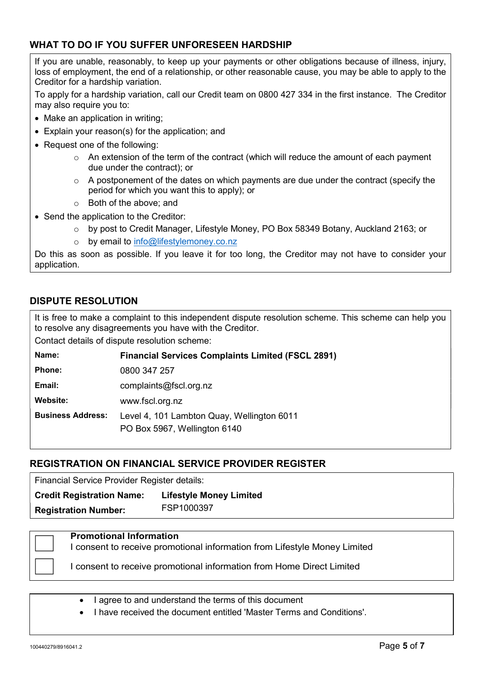# WHAT TO DO IF YOU SUFFER UNFORESEEN HARDSHIP

If you are unable, reasonably, to keep up your payments or other obligations because of illness, injury, loss of employment, the end of a relationship, or other reasonable cause, you may be able to apply to the Creditor for a hardship variation.

To apply for a hardship variation, call our Credit team on 0800 427 334 in the first instance. The Creditor may also require you to:

- Make an application in writing:
- Explain your reason(s) for the application; and
- Request one of the following:
	- $\circ$  An extension of the term of the contract (which will reduce the amount of each payment due under the contract); or
	- $\circ$  A postponement of the dates on which payments are due under the contract (specify the period for which you want this to apply); or
	- o Both of the above; and
- Send the application to the Creditor:
	- o by post to Credit Manager, Lifestyle Money, PO Box 58349 Botany, Auckland 2163; or
	- o by email to info@lifestylemoney.co.nz

Do this as soon as possible. If you leave it for too long, the Creditor may not have to consider your application.

## DISPUTE RESOLUTION

It is free to make a complaint to this independent dispute resolution scheme. This scheme can help you to resolve any disagreements you have with the Creditor.

Contact details of dispute resolution scheme:

| Name:                    | <b>Financial Services Complaints Limited (FSCL 2891)</b>                   |
|--------------------------|----------------------------------------------------------------------------|
| Phone:                   | 0800 347 257                                                               |
| Email:                   | complaints@fscl.org.nz                                                     |
| Website:                 | www.fscl.org.nz                                                            |
| <b>Business Address:</b> | Level 4, 101 Lambton Quay, Wellington 6011<br>PO Box 5967, Wellington 6140 |

# REGISTRATION ON FINANCIAL SERVICE PROVIDER REGISTER

Financial Service Provider Register details:

Credit Registration Name: Lifestyle Money Limited Registration Number: FSP1000397

Promotional Information

I consent to receive promotional information from Lifestyle Money Limited

I consent to receive promotional information from Home Direct Limited

- I agree to and understand the terms of this document
- I have received the document entitled 'Master Terms and Conditions'.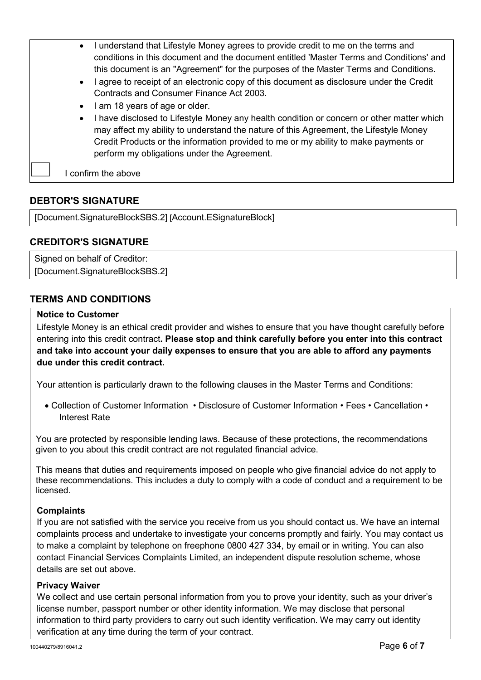- I understand that Lifestyle Money agrees to provide credit to me on the terms and conditions in this document and the document entitled 'Master Terms and Conditions' and this document is an "Agreement" for the purposes of the Master Terms and Conditions.
- I agree to receipt of an electronic copy of this document as disclosure under the Credit Contracts and Consumer Finance Act 2003.
- I am 18 years of age or older.
- I have disclosed to Lifestyle Money any health condition or concern or other matter which may affect my ability to understand the nature of this Agreement, the Lifestyle Money Credit Products or the information provided to me or my ability to make payments or perform my obligations under the Agreement.

I confirm the above

# DEBTOR'S SIGNATURE

[Document.SignatureBlockSBS.2] [Account.ESignatureBlock]

# CREDITOR'S SIGNATURE

Signed on behalf of Creditor: [Document.SignatureBlockSBS.2]

# TERMS AND CONDITIONS

## Notice to Customer

Lifestyle Money is an ethical credit provider and wishes to ensure that you have thought carefully before entering into this credit contract. Please stop and think carefully before you enter into this contract and take into account your daily expenses to ensure that you are able to afford any payments due under this credit contract.

Your attention is particularly drawn to the following clauses in the Master Terms and Conditions:

 Collection of Customer Information • Disclosure of Customer Information • Fees • Cancellation • Interest Rate

You are protected by responsible lending laws. Because of these protections, the recommendations given to you about this credit contract are not regulated financial advice.

This means that duties and requirements imposed on people who give financial advice do not apply to these recommendations. This includes a duty to comply with a code of conduct and a requirement to be licensed.

## **Complaints**

If you are not satisfied with the service you receive from us you should contact us. We have an internal complaints process and undertake to investigate your concerns promptly and fairly. You may contact us to make a complaint by telephone on freephone 0800 427 334, by email or in writing. You can also contact Financial Services Complaints Limited, an independent dispute resolution scheme, whose details are set out above.

## Privacy Waiver

We collect and use certain personal information from you to prove your identity, such as your driver's license number, passport number or other identity information. We may disclose that personal information to third party providers to carry out such identity verification. We may carry out identity verification at any time during the term of your contract.